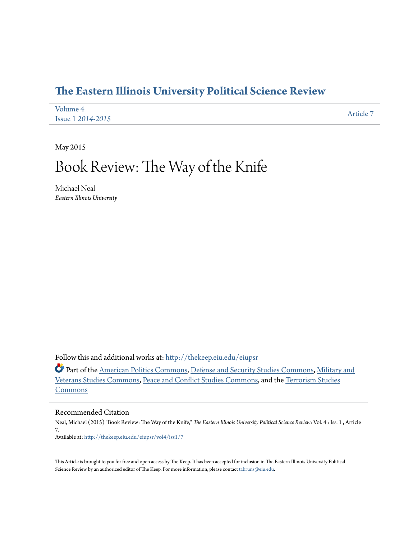## **[The Eastern Illinois University Political Science Review](http://thekeep.eiu.edu/eiupsr?utm_source=thekeep.eiu.edu%2Feiupsr%2Fvol4%2Fiss1%2F7&utm_medium=PDF&utm_campaign=PDFCoverPages)**

| Volume 4                 | Article 7 |
|--------------------------|-----------|
| <b>Issue 1 2014-2015</b> |           |

May 2015

# Book Review: The Way of the Knife

Michael Neal *Eastern Illinois University*

Follow this and additional works at: [http://thekeep.eiu.edu/eiupsr](http://thekeep.eiu.edu/eiupsr?utm_source=thekeep.eiu.edu%2Feiupsr%2Fvol4%2Fiss1%2F7&utm_medium=PDF&utm_campaign=PDFCoverPages)

Part of the [American Politics Commons](http://network.bepress.com/hgg/discipline/387?utm_source=thekeep.eiu.edu%2Feiupsr%2Fvol4%2Fiss1%2F7&utm_medium=PDF&utm_campaign=PDFCoverPages), [Defense and Security Studies Commons,](http://network.bepress.com/hgg/discipline/394?utm_source=thekeep.eiu.edu%2Feiupsr%2Fvol4%2Fiss1%2F7&utm_medium=PDF&utm_campaign=PDFCoverPages) [Military and](http://network.bepress.com/hgg/discipline/396?utm_source=thekeep.eiu.edu%2Feiupsr%2Fvol4%2Fiss1%2F7&utm_medium=PDF&utm_campaign=PDFCoverPages) [Veterans Studies Commons,](http://network.bepress.com/hgg/discipline/396?utm_source=thekeep.eiu.edu%2Feiupsr%2Fvol4%2Fiss1%2F7&utm_medium=PDF&utm_campaign=PDFCoverPages) [Peace and Conflict Studies Commons,](http://network.bepress.com/hgg/discipline/397?utm_source=thekeep.eiu.edu%2Feiupsr%2Fvol4%2Fiss1%2F7&utm_medium=PDF&utm_campaign=PDFCoverPages) and the [Terrorism Studies](http://network.bepress.com/hgg/discipline/1389?utm_source=thekeep.eiu.edu%2Feiupsr%2Fvol4%2Fiss1%2F7&utm_medium=PDF&utm_campaign=PDFCoverPages) [Commons](http://network.bepress.com/hgg/discipline/1389?utm_source=thekeep.eiu.edu%2Feiupsr%2Fvol4%2Fiss1%2F7&utm_medium=PDF&utm_campaign=PDFCoverPages)

#### Recommended Citation

Neal, Michael (2015) "Book Review: The Way of the Knife," *The Eastern Illinois University Political Science Review*: Vol. 4 : Iss. 1 , Article 7. Available at: [http://thekeep.eiu.edu/eiupsr/vol4/iss1/7](http://thekeep.eiu.edu/eiupsr/vol4/iss1/7?utm_source=thekeep.eiu.edu%2Feiupsr%2Fvol4%2Fiss1%2F7&utm_medium=PDF&utm_campaign=PDFCoverPages)

This Article is brought to you for free and open access by The Keep. It has been accepted for inclusion in The Eastern Illinois University Political Science Review by an authorized editor of The Keep. For more information, please contact [tabruns@eiu.edu](mailto:tabruns@eiu.edu).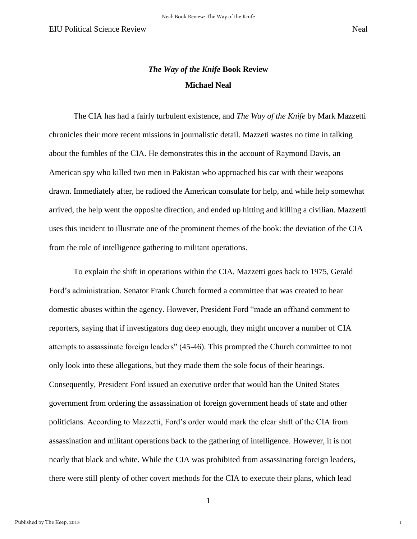1

### *The Way of the Knife* **Book Review Michael Neal**

 The CIA has had a fairly turbulent existence, and *The Way of the Knife* by Mark Mazzetti chronicles their more recent missions in journalistic detail. Mazzeti wastes no time in talking about the fumbles of the CIA. He demonstrates this in the account of Raymond Davis, an American spy who killed two men in Pakistan who approached his car with their weapons drawn. Immediately after, he radioed the American consulate for help, and while help somewhat arrived, the help went the opposite direction, and ended up hitting and killing a civilian. Mazzetti uses this incident to illustrate one of the prominent themes of the book: the deviation of the CIA from the role of intelligence gathering to militant operations.

 To explain the shift in operations within the CIA, Mazzetti goes back to 1975, Gerald Ford's administration. Senator Frank Church formed a committee that was created to hear domestic abuses within the agency. However, President Ford "made an offhand comment to reporters, saying that if investigators dug deep enough, they might uncover a number of CIA attempts to assassinate foreign leaders" (45-46). This prompted the Church committee to not only look into these allegations, but they made them the sole focus of their hearings. Consequently, President Ford issued an executive order that would ban the United States government from ordering the assassination of foreign government heads of state and other politicians. According to Mazzetti, Ford's order would mark the clear shift of the CIA from assassination and militant operations back to the gathering of intelligence. However, it is not nearly that black and white. While the CIA was prohibited from assassinating foreign leaders, there were still plenty of other covert methods for the CIA to execute their plans, which lead

1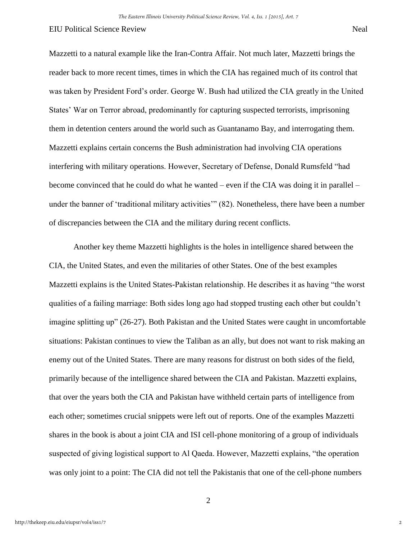#### EIU Political Science Review Neal

Mazzetti to a natural example like the Iran-Contra Affair. Not much later, Mazzetti brings the reader back to more recent times, times in which the CIA has regained much of its control that was taken by President Ford's order. George W. Bush had utilized the CIA greatly in the United States' War on Terror abroad, predominantly for capturing suspected terrorists, imprisoning them in detention centers around the world such as Guantanamo Bay, and interrogating them. Mazzetti explains certain concerns the Bush administration had involving CIA operations interfering with military operations. However, Secretary of Defense, Donald Rumsfeld "had become convinced that he could do what he wanted – even if the CIA was doing it in parallel – under the banner of 'traditional military activities'" (82). Nonetheless, there have been a number of discrepancies between the CIA and the military during recent conflicts.

 Another key theme Mazzetti highlights is the holes in intelligence shared between the CIA, the United States, and even the militaries of other States. One of the best examples Mazzetti explains is the United States-Pakistan relationship. He describes it as having "the worst qualities of a failing marriage: Both sides long ago had stopped trusting each other but couldn't imagine splitting up" (26-27). Both Pakistan and the United States were caught in uncomfortable situations: Pakistan continues to view the Taliban as an ally, but does not want to risk making an enemy out of the United States. There are many reasons for distrust on both sides of the field, primarily because of the intelligence shared between the CIA and Pakistan. Mazzetti explains, that over the years both the CIA and Pakistan have withheld certain parts of intelligence from each other; sometimes crucial snippets were left out of reports. One of the examples Mazzetti shares in the book is about a joint CIA and ISI cell-phone monitoring of a group of individuals suspected of giving logistical support to Al Qaeda. However, Mazzetti explains, "the operation was only joint to a point: The CIA did not tell the Pakistanis that one of the cell-phone numbers

2